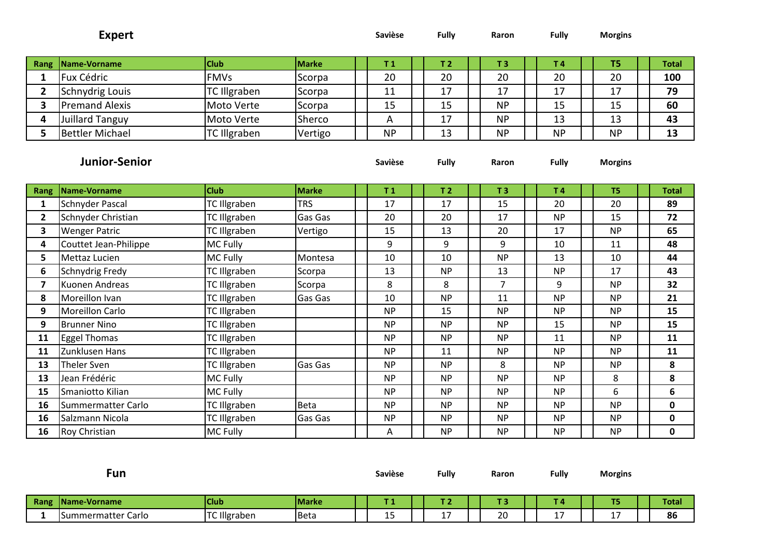|                         | <b>Expert</b>          |                     |              | <b>Savièse</b> | Fully          | Raron          | <b>Fully</b>   | <b>Morgins</b> |              |
|-------------------------|------------------------|---------------------|--------------|----------------|----------------|----------------|----------------|----------------|--------------|
| Rang                    | Name-Vorname           | <b>Club</b>         | <b>Marke</b> | T <sub>1</sub> | T <sub>2</sub> | T <sub>3</sub> | T <sub>4</sub> | T <sub>5</sub> | <b>Total</b> |
| $\mathbf{1}$            | Fux Cédric             | <b>FMVs</b>         | Scorpa       | 20             | 20             | 20             | 20             | 20             | 100          |
| $\overline{2}$          | Schnydrig Louis        | <b>TC Illgraben</b> | Scorpa       | 11             | 17             | 17             | 17             | 17             | 79           |
| 3                       | <b>Premand Alexis</b>  | Moto Verte          | Scorpa       | 15             | 15             | <b>NP</b>      | 15             | 15             | 60           |
| 4                       | <b>Juillard Tanguy</b> | Moto Verte          | Sherco       | A              | 17             | <b>NP</b>      | 13             | 13             | 43           |
| 5                       | <b>Bettler Michael</b> | TC Illgraben        | Vertigo      | <b>NP</b>      | 13             | <b>NP</b>      | <b>NP</b>      | <b>NP</b>      | 13           |
|                         | <b>Junior-Senior</b>   |                     |              | Savièse        | <b>Fully</b>   | Raron          | <b>Fully</b>   | <b>Morgins</b> |              |
| <b>Rang</b>             | Name-Vorname           | <b>Club</b>         | <b>Marke</b> | T <sub>1</sub> | T <sub>2</sub> | T <sub>3</sub> | T <sub>4</sub> | T5             | <b>Total</b> |
| $\mathbf{1}$            | Schnyder Pascal        | <b>TC Illgraben</b> | <b>TRS</b>   | 17             | 17             | 15             | 20             | 20             | 89           |
| $\overline{2}$          | Schnyder Christian     | <b>TC Illgraben</b> | Gas Gas      | 20             | 20             | 17             | <b>NP</b>      | 15             | 72           |
| 3                       | <b>Wenger Patric</b>   | <b>TC Illgraben</b> | Vertigo      | 15             | 13             | 20             | 17             | <b>NP</b>      | 65           |
| 4                       | Couttet Jean-Philippe  | MC Fully            |              | 9              | 9              | 9              | 10             | 11             | 48           |
| 5                       | Mettaz Lucien          | MC Fully            | Montesa      | 10             | 10             | <b>NP</b>      | 13             | 10             | 44           |
| 6                       | Schnydrig Fredy        | <b>TC Illgraben</b> | Scorpa       | 13             | <b>NP</b>      | 13             | <b>NP</b>      | 17             | 43           |
| $\overline{\mathbf{z}}$ | Kuonen Andreas         | <b>TC Illgraben</b> | Scorpa       | 8              | 8              | $\overline{7}$ | 9              | <b>NP</b>      | 32           |
| 8                       | Moreillon Ivan         | <b>TC Illgraben</b> | Gas Gas      | 10             | <b>NP</b>      | 11             | <b>NP</b>      | <b>NP</b>      | 21           |
| 9                       | <b>Moreillon Carlo</b> | <b>TC Illgraben</b> |              | <b>NP</b>      | 15             | <b>NP</b>      | <b>NP</b>      | <b>NP</b>      | 15           |
| 9                       | <b>Brunner Nino</b>    | <b>TC Illgraben</b> |              | <b>NP</b>      | <b>NP</b>      | <b>NP</b>      | 15             | <b>NP</b>      | 15           |
| 11                      | <b>Eggel Thomas</b>    | <b>TC Illgraben</b> |              | <b>NP</b>      | <b>NP</b>      | <b>NP</b>      | 11             | <b>NP</b>      | 11           |
| 11                      | Zunklusen Hans         | <b>TC Illgraben</b> |              | <b>NP</b>      | 11             | <b>NP</b>      | <b>NP</b>      | <b>NP</b>      | 11           |
| 13                      | Theler Sven            | <b>TC Illgraben</b> | Gas Gas      | <b>NP</b>      | <b>NP</b>      | 8              | <b>NP</b>      | <b>NP</b>      | 8            |
| 13                      | Jean Frédéric          | MC Fully            |              | <b>NP</b>      | <b>NP</b>      | <b>NP</b>      | <b>NP</b>      | 8              | 8            |
| 15                      | Smaniotto Kilian       | MC Fully            |              | <b>NP</b>      | <b>NP</b>      | <b>NP</b>      | <b>NP</b>      | 6              | 6            |
| 16                      | Summermatter Carlo     | <b>TC Illgraben</b> | <b>Beta</b>  | <b>NP</b>      | <b>NP</b>      | <b>NP</b>      | <b>NP</b>      | <b>NP</b>      | $\mathbf 0$  |
| 16                      | Salzmann Nicola        | <b>TC Illgraben</b> | Gas Gas      | <b>NP</b>      | <b>NP</b>      | <b>NP</b>      | <b>NP</b>      | <b>NP</b>      | 0            |
| 16                      | <b>Roy Christian</b>   | MC Fully            |              | Α              | <b>NP</b>      | <b>NP</b>      | <b>NP</b>      | <b>NP</b>      | $\mathbf 0$  |

|             | Fun                |                     |              | <b>Savièse</b> | Fully                  | Raron | <b>Fully</b>    | <b>Morgins</b>         |              |
|-------------|--------------------|---------------------|--------------|----------------|------------------------|-------|-----------------|------------------------|--------------|
| <b>Rang</b> | Name-Vorname       | <b>Club</b>         | <b>Marke</b> |                |                        |       | -4              | T <sub>5</sub>         | <b>Total</b> |
|             | Summermatter Carlo | <b>TC Illgraben</b> | <b>Beta</b>  | . .<br>ᅩ       | . –<br><u>. на стр</u> | 20    | . –<br><b>.</b> | <b>. –</b><br><b>.</b> | 86           |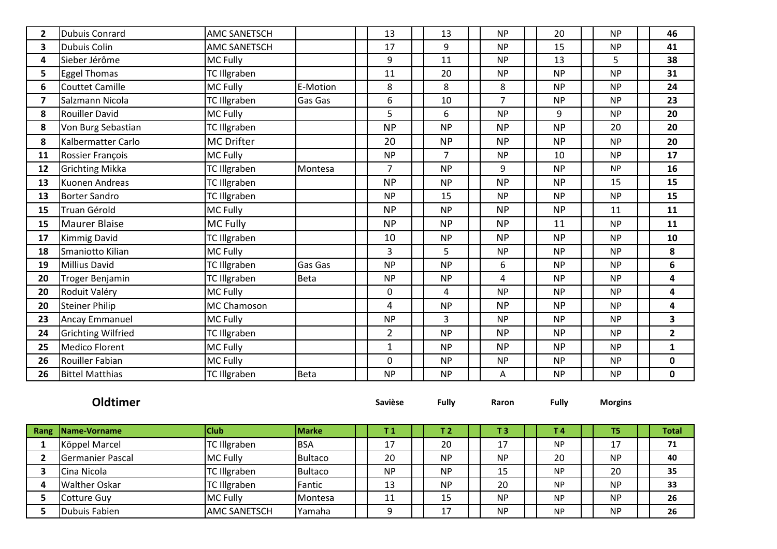| $\mathbf{2}$            | <b>Dubuis Conrard</b>     | <b>AMC SANETSCH</b> |                | 13             | 13             | <b>NP</b>      | 20           | <b>NP</b>      | 46                      |
|-------------------------|---------------------------|---------------------|----------------|----------------|----------------|----------------|--------------|----------------|-------------------------|
| 3                       | Dubuis Colin              | <b>AMC SANETSCH</b> |                | 17             | 9              | <b>NP</b>      | 15           | <b>NP</b>      | 41                      |
| 4                       | Sieber Jérôme             | MC Fully            |                | 9              | 11             | <b>NP</b>      | 13           | 5              | 38                      |
| 5                       | <b>Eggel Thomas</b>       | TC Illgraben        |                | 11             | 20             | <b>NP</b>      | <b>NP</b>    | <b>NP</b>      | 31                      |
| 6                       | <b>Couttet Camille</b>    | MC Fully            | E-Motion       | 8              | 8              | 8              | <b>NP</b>    | <b>NP</b>      | 24                      |
| $\overline{\mathbf{z}}$ | Salzmann Nicola           | TC Illgraben        | <b>Gas Gas</b> | 6              | 10             | $\overline{7}$ | <b>NP</b>    | <b>NP</b>      | 23                      |
| 8                       | <b>Rouiller David</b>     | MC Fully            |                | 5              | 6              | <b>NP</b>      | 9            | <b>NP</b>      | 20                      |
| 8                       | Von Burg Sebastian        | <b>TC Illgraben</b> |                | <b>NP</b>      | <b>NP</b>      | <b>NP</b>      | <b>NP</b>    | 20             | 20                      |
| 8                       | Kalbermatter Carlo        | <b>MC Drifter</b>   |                | 20             | <b>NP</b>      | <b>NP</b>      | <b>NP</b>    | <b>NP</b>      | 20                      |
| 11                      | Rossier François          | MC Fully            |                | <b>NP</b>      | $\overline{7}$ | <b>NP</b>      | 10           | <b>NP</b>      | 17                      |
| 12                      | <b>Grichting Mikka</b>    | <b>TC Illgraben</b> | Montesa        | $\overline{7}$ | <b>NP</b>      | 9              | <b>NP</b>    | <b>NP</b>      | 16                      |
| 13                      | Kuonen Andreas            | <b>TC Illgraben</b> |                | <b>NP</b>      | <b>NP</b>      | <b>NP</b>      | <b>NP</b>    | 15             | 15                      |
| 13                      | <b>Borter Sandro</b>      | <b>TC Illgraben</b> |                | <b>NP</b>      | 15             | <b>NP</b>      | <b>NP</b>    | <b>NP</b>      | 15                      |
| 15                      | <b>Truan Gérold</b>       | MC Fully            |                | <b>NP</b>      | <b>NP</b>      | <b>NP</b>      | <b>NP</b>    | 11             | 11                      |
| 15                      | <b>Maurer Blaise</b>      | MC Fully            |                | <b>NP</b>      | <b>NP</b>      | <b>NP</b>      | 11           | <b>NP</b>      | 11                      |
| 17                      | <b>Kimmig David</b>       | <b>TC Illgraben</b> |                | 10             | <b>NP</b>      | <b>NP</b>      | <b>NP</b>    | <b>NP</b>      | 10                      |
| 18                      | Smaniotto Kilian          | <b>MC Fully</b>     |                | 3              | 5              | <b>NP</b>      | <b>NP</b>    | <b>NP</b>      | 8                       |
| 19                      | <b>Millius David</b>      | <b>TC Illgraben</b> | Gas Gas        | <b>NP</b>      | <b>NP</b>      | 6              | <b>NP</b>    | <b>NP</b>      | $6\phantom{1}$          |
| 20                      | Troger Benjamin           | <b>TC Illgraben</b> | <b>Beta</b>    | <b>NP</b>      | <b>NP</b>      | 4              | <b>NP</b>    | <b>NP</b>      | 4                       |
| 20                      | Roduit Valéry             | <b>MC Fully</b>     |                | $\mathbf 0$    | 4              | <b>NP</b>      | <b>NP</b>    | <b>NP</b>      | $\overline{\mathbf{4}}$ |
| 20                      | <b>Steiner Philip</b>     | MC Chamoson         |                | 4              | <b>NP</b>      | <b>NP</b>      | <b>NP</b>    | <b>NP</b>      | 4                       |
| 23                      | <b>Ancay Emmanuel</b>     | MC Fully            |                | <b>NP</b>      | $\overline{3}$ | <b>NP</b>      | <b>NP</b>    | <b>NP</b>      | 3                       |
| 24                      | <b>Grichting Wilfried</b> | <b>TC Illgraben</b> |                | $\overline{2}$ | <b>NP</b>      | <b>NP</b>      | <b>NP</b>    | <b>NP</b>      | $\overline{2}$          |
| 25                      | <b>Medico Florent</b>     | MC Fully            |                | $\mathbf{1}$   | <b>NP</b>      | <b>NP</b>      | <b>NP</b>    | <b>NP</b>      | $\mathbf{1}$            |
| 26                      | Rouiller Fabian           | MC Fully            |                | $\mathbf 0$    | <b>NP</b>      | <b>NP</b>      | <b>NP</b>    | <b>NP</b>      | $\mathbf 0$             |
| 26                      | <b>Bittel Matthias</b>    | <b>TC Illgraben</b> | <b>Beta</b>    | <b>NP</b>      | <b>NP</b>      | A              | <b>NP</b>    | <b>NP</b>      | $\mathbf 0$             |
|                         |                           |                     |                |                |                |                |              |                |                         |
|                         | Oldtimer                  |                     |                | Savièse        | <b>Fully</b>   | Raron          | <b>Fully</b> | <b>Morgins</b> |                         |
|                         |                           |                     |                |                |                |                |              |                |                         |

| <b>Rang Name-Vorname</b> | lClub.              | <b>Marke</b>   |           | T2.       | т з       | Г4.       | T5        | <b>Total</b> |
|--------------------------|---------------------|----------------|-----------|-----------|-----------|-----------|-----------|--------------|
| Köppel Marcel            | TC Illgraben        | <b>BSA</b>     | 17<br>┻.  | 20        | 17        | <b>NP</b> | 17        | 71           |
| Germanier Pascal         | <b>MC Fully</b>     | <b>Bultaco</b> | 20        | <b>NP</b> | <b>NP</b> | 20        | <b>NP</b> | 40           |
| Cina Nicola              | TC Illgraben        | <b>Bultaco</b> | <b>NP</b> | <b>NP</b> | 15        | <b>NP</b> | 20        | 35           |
| <b>Walther Oskar</b>     | <b>TC Illgraben</b> | Fantic         | 13        | <b>NP</b> | 20        | <b>NP</b> | <b>NP</b> | 33           |
| Cotture Guy              | <b>MC Fully</b>     | <b>Montesa</b> | 11        | 15        | <b>NP</b> | <b>NP</b> | <b>NP</b> | 26           |
| Dubuis Fabien            | <b>AMC SANETSCH</b> | Yamaha         | $\Omega$  |           | <b>NP</b> | <b>NP</b> | <b>NP</b> | 26           |